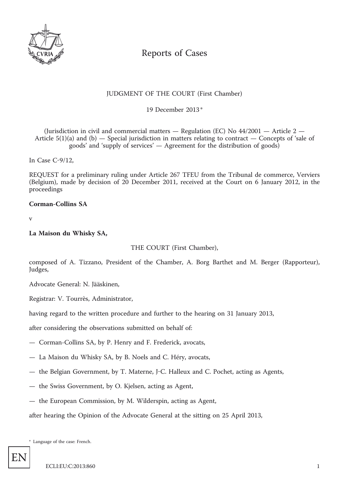

# Reports of Cases

# JUDGMENT OF THE COURT (First Chamber)

\* 19 December 2013

(Jurisdiction in civil and commercial matters — Regulation (EC) No 44/2001 — Article 2 — Article  $5(1)(a)$  and  $(b)$  — Special jurisdiction in matters relating to contract — Concepts of 'sale of goods' and 'supply of services' — Agreement for the distribution of goods)

In Case C-9/12,

REQUEST for a preliminary ruling under Article 267 TFEU from the Tribunal de commerce, Verviers (Belgium), made by decision of 20 December 2011, received at the Court on 6 January 2012, in the proceedings

# **Corman-Collins SA**

v

### **La Maison du Whisky SA,**

THE COURT (First Chamber),

composed of A. Tizzano, President of the Chamber, A. Borg Barthet and M. Berger (Rapporteur), Judges,

Advocate General: N. Jääskinen,

Registrar: V. Tourrès, Administrator,

having regard to the written procedure and further to the hearing on 31 January 2013,

after considering the observations submitted on behalf of:

- Corman-Collins SA, by P. Henry and F. Frederick, avocats,
- La Maison du Whisky SA, by B. Noels and C. Héry, avocats,
- the Belgian Government, by T. Materne, J-C. Halleux and C. Pochet, acting as Agents,
- the Swiss Government, by O. Kjelsen, acting as Agent,
- the European Commission, by M. Wilderspin, acting as Agent,

after hearing the Opinion of the Advocate General at the sitting on 25 April 2013,

\* Language of the case: French.

EN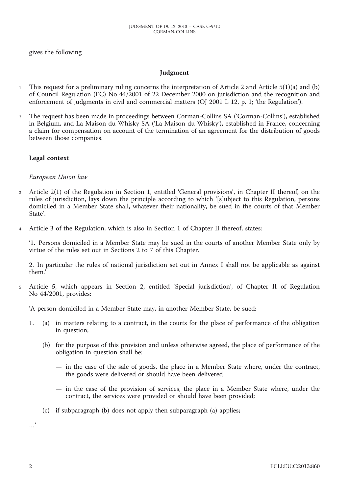gives the following

#### **Judgment**

- 1 This request for a preliminary ruling concerns the interpretation of Article 2 and Article 5(1)(a) and (b) of Council Regulation (EC) No 44/2001 of 22 December 2000 on jurisdiction and the recognition and enforcement of judgments in civil and commercial matters (OJ 2001 L 12, p. 1; 'the Regulation').
- 2 The request has been made in proceedings between Corman-Collins SA ('Corman-Collins'), established in Belgium, and La Maison du Whisky SA ('La Maison du Whisky'), established in France, concerning a claim for compensation on account of the termination of an agreement for the distribution of goods between those companies.

## **Legal context**

### *European Union law*

- 3 Article 2(1) of the Regulation in Section 1, entitled 'General provisions', in Chapter II thereof, on the rules of jurisdiction, lays down the principle according to which '[s]ubject to this Regulation, persons domiciled in a Member State shall, whatever their nationality, be sued in the courts of that Member State'.
- 4 Article 3 of the Regulation, which is also in Section 1 of Chapter II thereof, states:

'1. Persons domiciled in a Member State may be sued in the courts of another Member State only by virtue of the rules set out in Sections 2 to 7 of this Chapter.

2. In particular the rules of national jurisdiction set out in Annex I shall not be applicable as against them.'

5 Article 5, which appears in Section 2, entitled 'Special jurisdiction', of Chapter II of Regulation No 44/2001, provides:

'A person domiciled in a Member State may, in another Member State, be sued:

- 1. (a) in matters relating to a contract, in the courts for the place of performance of the obligation in question;
	- (b) for the purpose of this provision and unless otherwise agreed, the place of performance of the obligation in question shall be:
		- in the case of the sale of goods, the place in a Member State where, under the contract, the goods were delivered or should have been delivered
		- in the case of the provision of services, the place in a Member State where, under the contract, the services were provided or should have been provided;
	- (c) if subparagraph (b) does not apply then subparagraph (a) applies;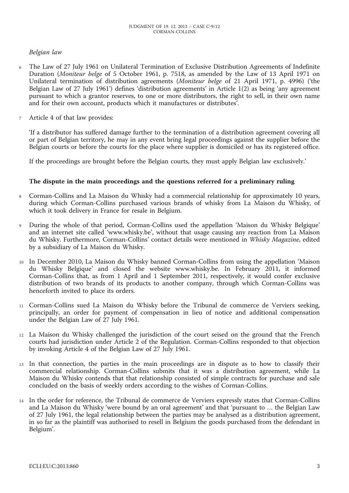# *Belgian law*

- 6 The Law of 27 July 1961 on Unilateral Termination of Exclusive Distribution Agreements of Indefinite Duration (*Moniteur belge* of 5 October 1961, p. 7518, as amended by the Law of 13 April 1971 on Unilateral termination of distribution agreements (*Moniteur belge* of 21 April 1971, p. 4996) ('the Belgian Law of 27 July 1961') defines 'distribution agreements' in Article 1(2) as being 'any agreement pursuant to which a grantor reserves, to one or more distributors, the right to sell, in their own name and for their own account, products which it manufactures or distributes'.
- Article 4 of that law provides:

'If a distributor has suffered damage further to the termination of a distribution agreement covering all or part of Belgian territory, he may in any event bring legal proceedings against the supplier before the Belgian courts or before the courts for the place where supplier is domiciled or has its registered office.

If the proceedings are brought before the Belgian courts, they must apply Belgian law exclusively.'

### **The dispute in the main proceedings and the questions referred for a preliminary ruling**

- 8 Corman-Collins and La Maison du Whisky had a commercial relationship for approximately 10 years, during which Corman-Collins purchased various brands of whisky from La Maison du Whisky, of which it took delivery in France for resale in Belgium.
- 9 During the whole of that period, Corman-Collins used the appellation 'Maison du Whisky Belgique' and an internet site called 'www.whisky.be', without that usage causing any reaction from La Maison du Whisky. Furthermore, Corman-Collins' contact details were mentioned in *Whisky Magazine*, edited by a subsidiary of La Maison du Whisky.
- 10 In December 2010, La Maison du Whisky banned Corman-Collins from using the appellation 'Maison du Whisky Belgique' and closed the website www.whisky.be. In February 2011, it informed Corman-Collins that, as from 1 April and 1 September 2011, respectively, it would confer exclusive distribution of two brands of its products to another company, through which Corman-Collins was henceforth invited to place its orders.
- 11 Corman-Collins sued La Maison du Whisky before the Tribunal de commerce de Verviers seeking, principally, an order for payment of compensation in lieu of notice and additional compensation under the Belgian Law of 27 July 1961.
- 12 La Maison du Whisky challenged the jurisdiction of the court seised on the ground that the French courts had jurisdiction under Article 2 of the Regulation. Corman-Collins responded to that objection by invoking Article 4 of the Belgian Law of 27 July 1961.
- 13 In that connection, the parties in the main proceedings are in dispute as to how to classify their commercial relationship. Corman-Collins submits that it was a distribution agreement, while La Maison du Whisky contends that that relationship consisted of simple contracts for purchase and sale concluded on the basis of weekly orders according to the wishes of Corman-Collins.
- 14 In the order for reference, the Tribunal de commerce de Verviers expressly states that Corman-Collins and La Maison du Whisky 'were bound by an oral agreement' and that 'pursuant to … the Belgian Law of 27 July 1961, the legal relationship between the parties may be analysed as a distribution agreement, in so far as the plaintiff was authorised to resell in Belgium the goods purchased from the defendant in Belgium'.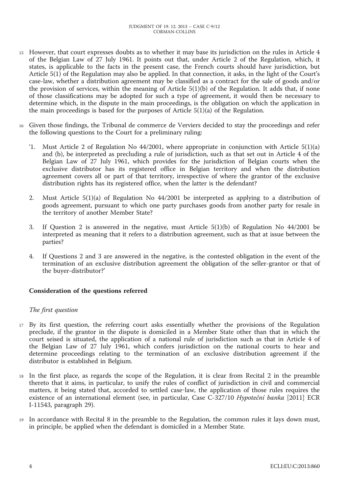- 15 However, that court expresses doubts as to whether it may base its jurisdiction on the rules in Article 4 of the Belgian Law of 27 July 1961. It points out that, under Article 2 of the Regulation, which, it states, is applicable to the facts in the present case, the French courts should have jurisdiction, but Article 5(1) of the Regulation may also be applied. In that connection, it asks, in the light of the Court's case-law, whether a distribution agreement may be classified as a contract for the sale of goods and/or the provision of services, within the meaning of Article  $5(1)(b)$  of the Regulation. It adds that, if none of those classifications may be adopted for such a type of agreement, it would then be necessary to determine which, in the dispute in the main proceedings, is the obligation on which the application in the main proceedings is based for the purposes of Article 5(1)(a) of the Regulation.
- 16 Given those findings, the Tribunal de commerce de Verviers decided to stay the proceedings and refer the following questions to the Court for a preliminary ruling:
	- '1. Must Article 2 of Regulation No 44/2001, where appropriate in conjunction with Article 5(1)(a) and (b), be interpreted as precluding a rule of jurisdiction, such as that set out in Article 4 of the Belgian Law of 27 July 1961, which provides for the jurisdiction of Belgian courts when the exclusive distributor has its registered office in Belgian territory and when the distribution agreement covers all or part of that territory, irrespective of where the grantor of the exclusive distribution rights has its registered office, when the latter is the defendant?
	- 2. Must Article 5(1)(a) of Regulation No 44/2001 be interpreted as applying to a distribution of goods agreement, pursuant to which one party purchases goods from another party for resale in the territory of another Member State?
	- 3. If Question 2 is answered in the negative, must Article 5(1)(b) of Regulation No 44/2001 be interpreted as meaning that it refers to a distribution agreement, such as that at issue between the parties?
	- 4. If Questions 2 and 3 are answered in the negative, is the contested obligation in the event of the termination of an exclusive distribution agreement the obligation of the seller-grantor or that of the buyer-distributor?'

## **Consideration of the questions referred**

## *The first question*

- 17 By its first question, the referring court asks essentially whether the provisions of the Regulation preclude, if the grantor in the dispute is domiciled in a Member State other than that in which the court seised is situated, the application of a national rule of jurisdiction such as that in Article 4 of the Belgian Law of 27 July 1961, which confers jurisdiction on the national courts to hear and determine proceedings relating to the termination of an exclusive distribution agreement if the distributor is established in Belgium.
- 18 In the first place, as regards the scope of the Regulation, it is clear from Recital 2 in the preamble thereto that it aims, in particular, to unify the rules of conflict of jurisdiction in civil and commercial matters, it being stated that, accorded to settled case-law, the application of those rules requires the existence of an international element (see, in particular, Case C-327/10 *Hypoteční banka* [2011] ECR I-11543, paragraph 29).
- 19 In accordance with Recital 8 in the preamble to the Regulation, the common rules it lays down must, in principle, be applied when the defendant is domiciled in a Member State.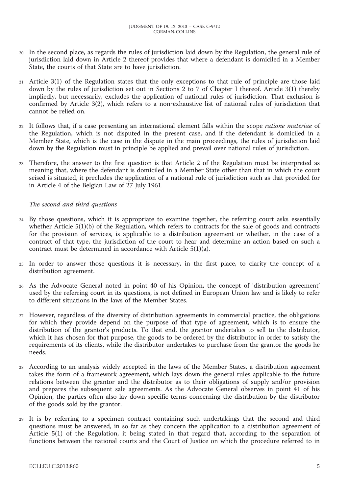- 20 In the second place, as regards the rules of jurisdiction laid down by the Regulation, the general rule of jurisdiction laid down in Article 2 thereof provides that where a defendant is domiciled in a Member State, the courts of that State are to have jurisdiction.
- 21 Article 3(1) of the Regulation states that the only exceptions to that rule of principle are those laid down by the rules of jurisdiction set out in Sections 2 to 7 of Chapter I thereof. Article 3(1) thereby impliedly, but necessarily, excludes the application of national rules of jurisdiction. That exclusion is confirmed by Article 3(2), which refers to a non-exhaustive list of national rules of jurisdiction that cannot be relied on.
- 22 It follows that, if a case presenting an international element falls within the scope *ratione materiae* of the Regulation, which is not disputed in the present case, and if the defendant is domiciled in a Member State, which is the case in the dispute in the main proceedings, the rules of jurisdiction laid down by the Regulation must in principle be applied and prevail over national rules of jurisdiction.
- 23 Therefore, the answer to the first question is that Article 2 of the Regulation must be interpreted as meaning that, where the defendant is domiciled in a Member State other than that in which the court seised is situated, it precludes the application of a national rule of jurisdiction such as that provided for in Article 4 of the Belgian Law of 27 July 1961.

# *The second and third questions*

- 24 By those questions, which it is appropriate to examine together, the referring court asks essentially whether Article 5(1)(b) of the Regulation, which refers to contracts for the sale of goods and contracts for the provision of services, is applicable to a distribution agreement or whether, in the case of a contract of that type, the jurisdiction of the court to hear and determine an action based on such a contract must be determined in accordance with Article 5(1)(a).
- 25 In order to answer those questions it is necessary, in the first place, to clarity the concept of a distribution agreement.
- 26 As the Advocate General noted in point 40 of his Opinion, the concept of 'distribution agreement' used by the referring court in its questions, is not defined in European Union law and is likely to refer to different situations in the laws of the Member States.
- 27 However, regardless of the diversity of distribution agreements in commercial practice, the obligations for which they provide depend on the purpose of that type of agreement, which is to ensure the distribution of the grantor's products. To that end, the grantor undertakes to sell to the distributor, which it has chosen for that purpose, the goods to be ordered by the distributor in order to satisfy the requirements of its clients, while the distributor undertakes to purchase from the grantor the goods he needs.
- 28 According to an analysis widely accepted in the laws of the Member States, a distribution agreement takes the form of a framework agreement, which lays down the general rules applicable to the future relations between the grantor and the distributor as to their obligations of supply and/or provision and prepares the subsequent sale agreements. As the Advocate General observes in point 41 of his Opinion, the parties often also lay down specific terms concerning the distribution by the distributor of the goods sold by the grantor.
- 29 It is by referring to a specimen contract containing such undertakings that the second and third questions must be answered, in so far as they concern the application to a distribution agreement of Article 5(1) of the Regulation, it being stated in that regard that, according to the separation of functions between the national courts and the Court of Justice on which the procedure referred to in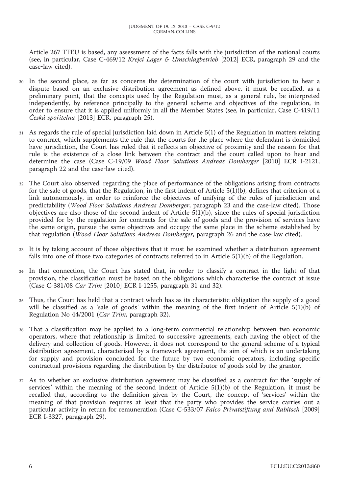Article 267 TFEU is based, any assessment of the facts falls with the jurisdiction of the national courts (see, in particular, Case C-469/12 *Krejci Lager & Umschlagbetrieb* [2012] ECR, paragraph 29 and the case-law cited).

- 30 In the second place, as far as concerns the determination of the court with jurisdiction to hear a dispute based on an exclusive distribution agreement as defined above, it must be recalled, as a preliminary point, that the concepts used by the Regulation must, as a general rule, be interpreted independently, by reference principally to the general scheme and objectives of the regulation, in order to ensure that it is applied uniformly in all the Member States (see, in particular, Case C-419/11 *Česká spořitelna* [2013] ECR, paragraph 25).
- 31 As regards the rule of special jurisdiction laid down in Article 5(1) of the Regulation in matters relating to contract, which supplements the rule that the courts for the place where the defendant is domiciled have jurisdiction, the Court has ruled that it reflects an objective of proximity and the reason for that rule is the existence of a close link between the contract and the court called upon to hear and determine the case (Case C-19/09 *Wood Floor Solutions Andreas Domberger* [2010] ECR I-2121, paragraph 22 and the case-law cited).
- 32 The Court also observed, regarding the place of performance of the obligations arising from contracts for the sale of goods, that the Regulation, in the first indent of Article  $5(1)(b)$ , defines that criterion of a link autonomously, in order to reinforce the objectives of unifying of the rules of jurisdiction and predictability (*Wood Floor Solutions Andreas Domberger*, paragraph 23 and the case-law cited). Those objectives are also those of the second indent of Article  $\bar{5}(1)(\bar{b})$ , since the rules of special jurisdiction provided for by the regulation for contracts for the sale of goods and the provision of services have the same origin, pursue the same objectives and occupy the same place in the scheme established by that regulation (*Wood Floor Solutions Andreas Domberger*, paragraph 26 and the case-law cited).
- 33 It is by taking account of those objectives that it must be examined whether a distribution agreement falls into one of those two categories of contracts referred to in Article 5(1)(b) of the Regulation.
- 34 In that connection, the Court has stated that, in order to classify a contract in the light of that provision, the classification must be based on the obligations which characterise the contract at issue (Case C-381/08 *Car Trim* [2010] ECR I-1255, paragraph 31 and 32).
- 35 Thus, the Court has held that a contract which has as its characteristic obligation the supply of a good will be classified as a 'sale of goods' within the meaning of the first indent of Article 5(1)(b) of Regulation No 44/2001 (*Car Trim*, paragraph 32).
- 36 That a classification may be applied to a long-term commercial relationship between two economic operators, where that relationship is limited to successive agreements, each having the object of the delivery and collection of goods. However, it does not correspond to the general scheme of a typical distribution agreement, characterised by a framework agreement, the aim of which is an undertaking for supply and provision concluded for the future by two economic operators, including specific contractual provisions regarding the distribution by the distributor of goods sold by the grantor.
- 37 As to whether an exclusive distribution agreement may be classified as a contract for the 'supply of services' within the meaning of the second indent of Article 5(1)(b) of the Regulation, it must be recalled that, according to the definition given by the Court, the concept of 'services' within the meaning of that provision requires at least that the party who provides the service carries out a particular activity in return for remuneration (Case C-533/07 *Falco Privatstiftung and Rabitsch* [2009] ECR I-3327, paragraph 29).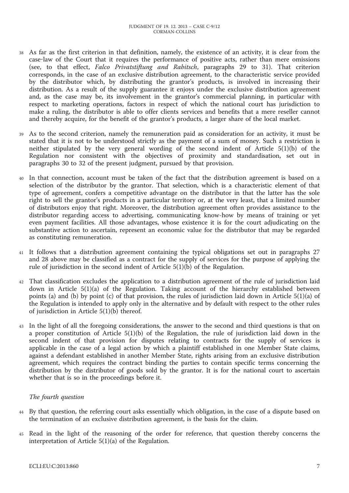- 38 As far as the first criterion in that definition, namely, the existence of an activity, it is clear from the case-law of the Court that it requires the performance of positive acts, rather than mere omissions (see, to that effect, *Falco Privatstiftung and Rabitsch*, paragraphs 29 to 31). That criterion corresponds, in the case of an exclusive distribution agreement, to the characteristic service provided by the distributor which, by distributing the grantor's products, is involved in increasing their distribution. As a result of the supply guarantee it enjoys under the exclusive distribution agreement and, as the case may be, its involvement in the grantor's commercial planning, in particular with respect to marketing operations, factors in respect of which the national court has jurisdiction to make a ruling, the distributor is able to offer clients services and benefits that a mere reseller cannot and thereby acquire, for the benefit of the grantor's products, a larger share of the local market.
- 39 As to the second criterion, namely the remuneration paid as consideration for an activity, it must be stated that it is not to be understood strictly as the payment of a sum of money. Such a restriction is neither stipulated by the very general wording of the second indent of Article 5(1)(b) of the Regulation nor consistent with the objectives of proximity and standardisation, set out in paragraphs 30 to 32 of the present judgment, pursued by that provision.
- 40 In that connection, account must be taken of the fact that the distribution agreement is based on a selection of the distributor by the grantor. That selection, which is a characteristic element of that type of agreement, confers a competitive advantage on the distributor in that the latter has the sole right to sell the grantor's products in a particular territory or, at the very least, that a limited number of distributors enjoy that right. Moreover, the distribution agreement often provides assistance to the distributor regarding access to advertising, communicating know-how by means of training or yet even payment facilities. All those advantages, whose existence it is for the court adjudicating on the substantive action to ascertain, represent an economic value for the distributor that may be regarded as constituting remuneration.
- 41 It follows that a distribution agreement containing the typical obligations set out in paragraphs 27 and 28 above may be classified as a contract for the supply of services for the purpose of applying the rule of jurisdiction in the second indent of Article 5(1)(b) of the Regulation.
- 42 That classification excludes the application to a distribution agreement of the rule of jurisdiction laid down in Article 5(1)(a) of the Regulation. Taking account of the hierarchy established between points (a) and (b) by point (c) of that provision, the rules of jurisdiction laid down in Article 5(1)(a) of the Regulation is intended to apply only in the alternative and by default with respect to the other rules of jurisdiction in Article 5(1)(b) thereof.
- 43 In the light of all the foregoing considerations, the answer to the second and third questions is that on a proper constitution of Article 5(1)(b) of the Regulation, the rule of jurisdiction laid down in the second indent of that provision for disputes relating to contracts for the supply of services is applicable in the case of a legal action by which a plaintiff established in one Member State claims, against a defendant established in another Member State, rights arising from an exclusive distribution agreement, which requires the contract binding the parties to contain specific terms concerning the distribution by the distributor of goods sold by the grantor. It is for the national court to ascertain whether that is so in the proceedings before it.

## *The fourth question*

- 44 By that question, the referring court asks essentially which obligation, in the case of a dispute based on the termination of an exclusive distribution agreement, is the basis for the claim.
- 45 Read in the light of the reasoning of the order for reference, that question thereby concerns the interpretation of Article 5(1)(a) of the Regulation.